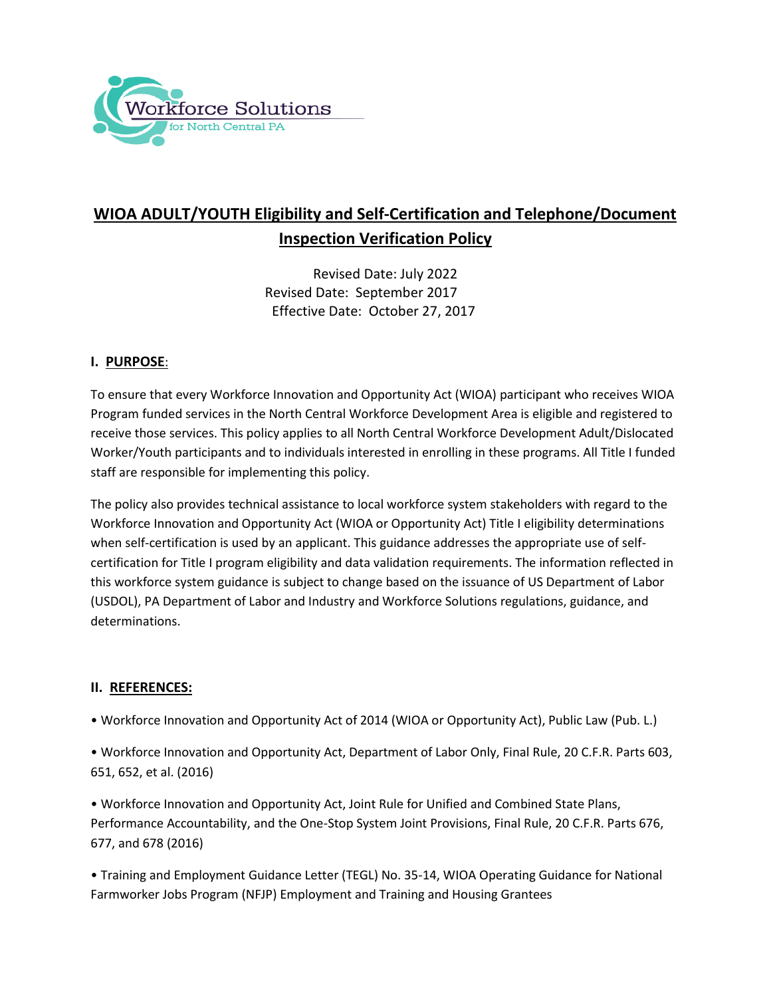

# **WIOA ADULT/YOUTH Eligibility and Self-Certification and Telephone/Document Inspection Verification Policy**

Revised Date: July 2022 Revised Date: September 2017 Effective Date: October 27, 2017

# **I. PURPOSE**:

To ensure that every Workforce Innovation and Opportunity Act (WIOA) participant who receives WIOA Program funded services in the North Central Workforce Development Area is eligible and registered to receive those services. This policy applies to all North Central Workforce Development Adult/Dislocated Worker/Youth participants and to individuals interested in enrolling in these programs. All Title I funded staff are responsible for implementing this policy.

The policy also provides technical assistance to local workforce system stakeholders with regard to the Workforce Innovation and Opportunity Act (WIOA or Opportunity Act) Title I eligibility determinations when self-certification is used by an applicant. This guidance addresses the appropriate use of selfcertification for Title I program eligibility and data validation requirements. The information reflected in this workforce system guidance is subject to change based on the issuance of US Department of Labor (USDOL), PA Department of Labor and Industry and Workforce Solutions regulations, guidance, and determinations.

#### **II. REFERENCES:**

• Workforce Innovation and Opportunity Act of 2014 (WIOA or Opportunity Act), Public Law (Pub. L.)

• Workforce Innovation and Opportunity Act, Department of Labor Only, Final Rule, 20 C.F.R. Parts 603, 651, 652, et al. (2016)

• Workforce Innovation and Opportunity Act, Joint Rule for Unified and Combined State Plans, Performance Accountability, and the One-Stop System Joint Provisions, Final Rule, 20 C.F.R. Parts 676, 677, and 678 (2016)

• Training and Employment Guidance Letter (TEGL) No. 35-14, WIOA Operating Guidance for National Farmworker Jobs Program (NFJP) Employment and Training and Housing Grantees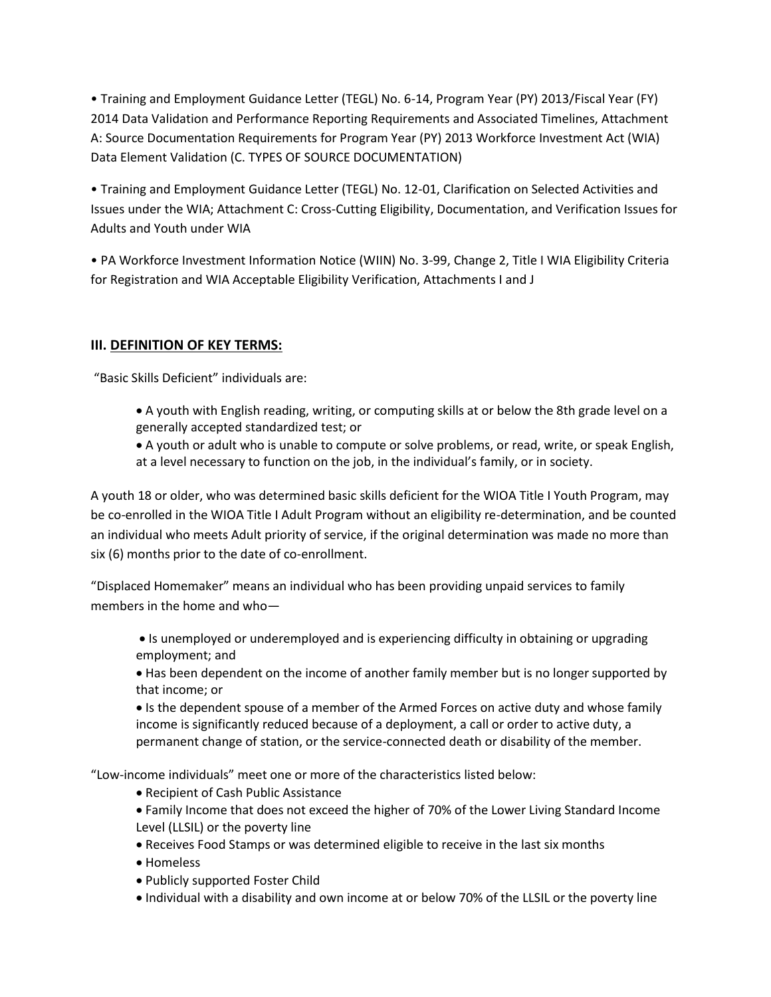• Training and Employment Guidance Letter (TEGL) No. 6-14, Program Year (PY) 2013/Fiscal Year (FY) 2014 Data Validation and Performance Reporting Requirements and Associated Timelines, Attachment A: Source Documentation Requirements for Program Year (PY) 2013 Workforce Investment Act (WIA) Data Element Validation (C. TYPES OF SOURCE DOCUMENTATION)

• Training and Employment Guidance Letter (TEGL) No. 12-01, Clarification on Selected Activities and Issues under the WIA; Attachment C: Cross-Cutting Eligibility, Documentation, and Verification Issues for Adults and Youth under WIA

• PA Workforce Investment Information Notice (WIIN) No. 3-99, Change 2, Title I WIA Eligibility Criteria for Registration and WIA Acceptable Eligibility Verification, Attachments I and J

# **III. DEFINITION OF KEY TERMS:**

"Basic Skills Deficient" individuals are:

- A youth with English reading, writing, or computing skills at or below the 8th grade level on a generally accepted standardized test; or
- A youth or adult who is unable to compute or solve problems, or read, write, or speak English, at a level necessary to function on the job, in the individual's family, or in society.

A youth 18 or older, who was determined basic skills deficient for the WIOA Title I Youth Program, may be co-enrolled in the WIOA Title I Adult Program without an eligibility re-determination, and be counted an individual who meets Adult priority of service, if the original determination was made no more than six (6) months prior to the date of co-enrollment.

"Displaced Homemaker" means an individual who has been providing unpaid services to family members in the home and who—

- Is unemployed or underemployed and is experiencing difficulty in obtaining or upgrading employment; and
- Has been dependent on the income of another family member but is no longer supported by that income; or

If is the dependent spouse of a member of the Armed Forces on active duty and whose family income is significantly reduced because of a deployment, a call or order to active duty, a permanent change of station, or the service-connected death or disability of the member.

"Low-income individuals" meet one or more of the characteristics listed below:

- Recipient of Cash Public Assistance
- Family Income that does not exceed the higher of 70% of the Lower Living Standard Income Level (LLSIL) or the poverty line
- Receives Food Stamps or was determined eligible to receive in the last six months
- Homeless
- Publicly supported Foster Child
- Individual with a disability and own income at or below 70% of the LLSIL or the poverty line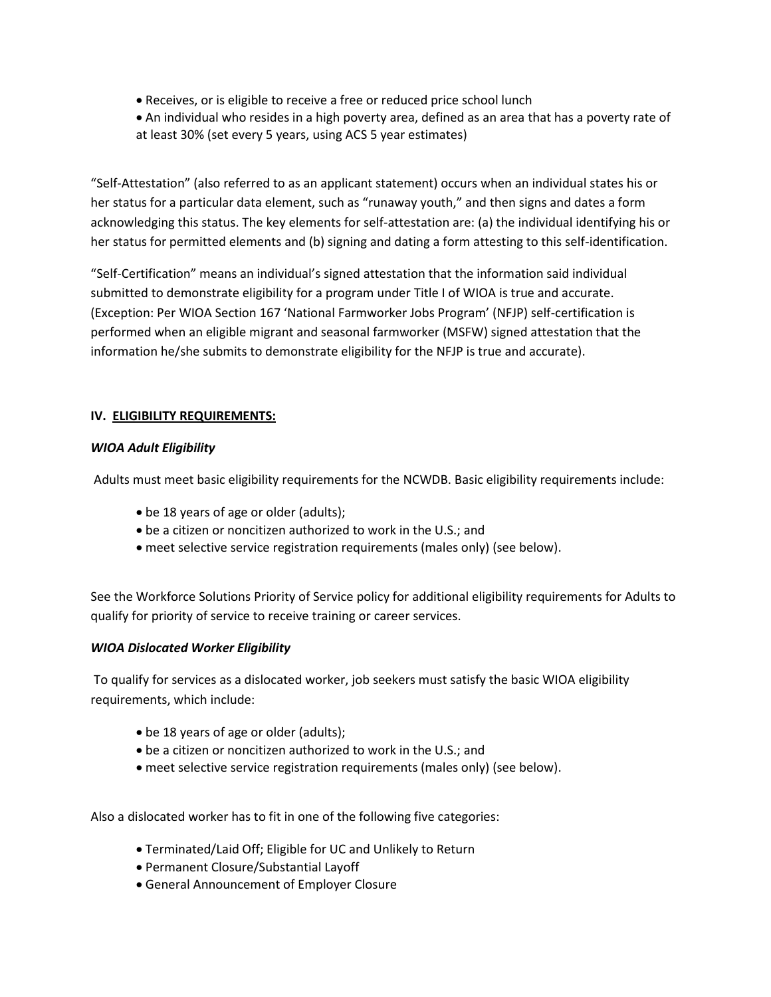- Receives, or is eligible to receive a free or reduced price school lunch
- An individual who resides in a high poverty area, defined as an area that has a poverty rate of at least 30% (set every 5 years, using ACS 5 year estimates)

"Self-Attestation" (also referred to as an applicant statement) occurs when an individual states his or her status for a particular data element, such as "runaway youth," and then signs and dates a form acknowledging this status. The key elements for self-attestation are: (a) the individual identifying his or her status for permitted elements and (b) signing and dating a form attesting to this self-identification.

"Self-Certification" means an individual's signed attestation that the information said individual submitted to demonstrate eligibility for a program under Title I of WIOA is true and accurate. (Exception: Per WIOA Section 167 'National Farmworker Jobs Program' (NFJP) self-certification is performed when an eligible migrant and seasonal farmworker (MSFW) signed attestation that the information he/she submits to demonstrate eligibility for the NFJP is true and accurate).

# **IV. ELIGIBILITY REQUIREMENTS:**

#### *WIOA Adult Eligibility*

Adults must meet basic eligibility requirements for the NCWDB. Basic eligibility requirements include:

- be 18 years of age or older (adults);
- be a citizen or noncitizen authorized to work in the U.S.; and
- meet selective service registration requirements (males only) (see below).

See the Workforce Solutions Priority of Service policy for additional eligibility requirements for Adults to qualify for priority of service to receive training or career services.

#### *WIOA Dislocated Worker Eligibility*

To qualify for services as a dislocated worker, job seekers must satisfy the basic WIOA eligibility requirements, which include:

- be 18 years of age or older (adults);
- be a citizen or noncitizen authorized to work in the U.S.; and
- meet selective service registration requirements (males only) (see below).

Also a dislocated worker has to fit in one of the following five categories:

- Terminated/Laid Off; Eligible for UC and Unlikely to Return
- Permanent Closure/Substantial Layoff
- General Announcement of Employer Closure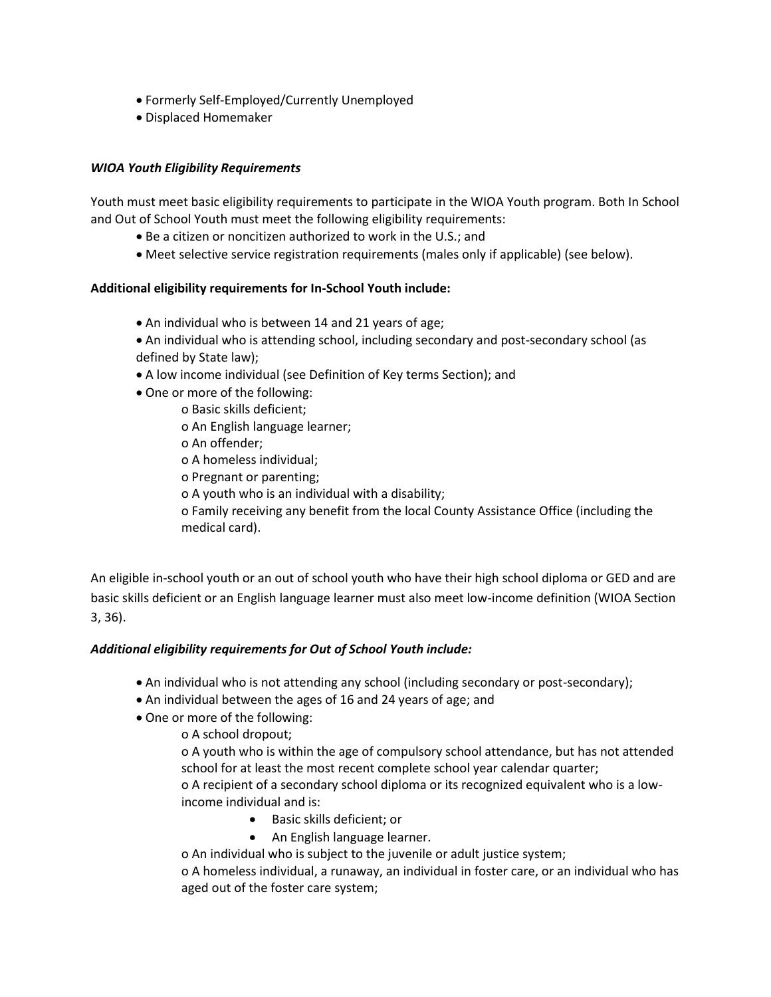- Formerly Self-Employed/Currently Unemployed
- Displaced Homemaker

# *WIOA Youth Eligibility Requirements*

Youth must meet basic eligibility requirements to participate in the WIOA Youth program. Both In School and Out of School Youth must meet the following eligibility requirements:

- Be a citizen or noncitizen authorized to work in the U.S.; and
- Meet selective service registration requirements (males only if applicable) (see below).

#### **Additional eligibility requirements for In-School Youth include:**

- An individual who is between 14 and 21 years of age;
- An individual who is attending school, including secondary and post-secondary school (as defined by State law);
- A low income individual (see Definition of Key terms Section); and
- One or more of the following:
	- o Basic skills deficient;
		- o An English language learner;
		- o An offender;
		- o A homeless individual;
		- o Pregnant or parenting;
		- o A youth who is an individual with a disability;
		- o Family receiving any benefit from the local County Assistance Office (including the medical card).

An eligible in-school youth or an out of school youth who have their high school diploma or GED and are basic skills deficient or an English language learner must also meet low-income definition (WIOA Section 3, 36).

#### *Additional eligibility requirements for Out of School Youth include:*

- An individual who is not attending any school (including secondary or post-secondary);
- An individual between the ages of 16 and 24 years of age; and
- One or more of the following:

o A school dropout;

o A youth who is within the age of compulsory school attendance, but has not attended school for at least the most recent complete school year calendar quarter;

o A recipient of a secondary school diploma or its recognized equivalent who is a lowincome individual and is:

- Basic skills deficient; or
- An English language learner.

o An individual who is subject to the juvenile or adult justice system;

o A homeless individual, a runaway, an individual in foster care, or an individual who has aged out of the foster care system;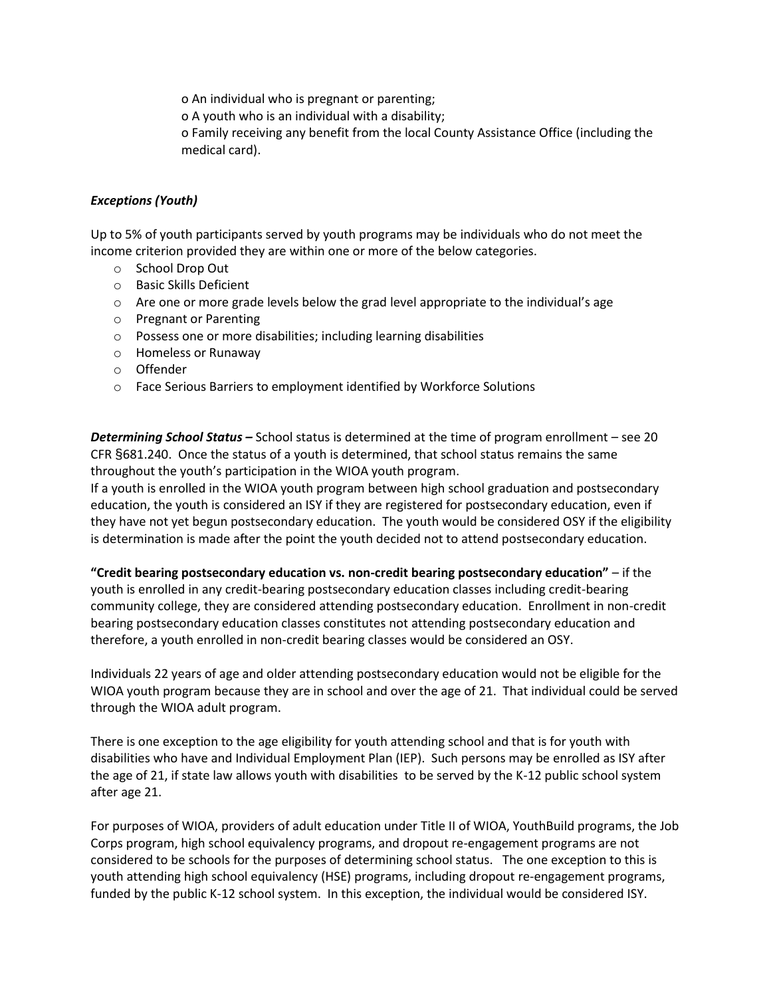o An individual who is pregnant or parenting;

o A youth who is an individual with a disability;

o Family receiving any benefit from the local County Assistance Office (including the medical card).

#### *Exceptions (Youth)*

Up to 5% of youth participants served by youth programs may be individuals who do not meet the income criterion provided they are within one or more of the below categories.

- o School Drop Out
- o Basic Skills Deficient
- $\circ$  Are one or more grade levels below the grad level appropriate to the individual's age
- o Pregnant or Parenting
- o Possess one or more disabilities; including learning disabilities
- o Homeless or Runaway
- o Offender
- o Face Serious Barriers to employment identified by Workforce Solutions

*Determining School Status –* School status is determined at the time of program enrollment – see 20 CFR §681.240. Once the status of a youth is determined, that school status remains the same throughout the youth's participation in the WIOA youth program.

If a youth is enrolled in the WIOA youth program between high school graduation and postsecondary education, the youth is considered an ISY if they are registered for postsecondary education, even if they have not yet begun postsecondary education. The youth would be considered OSY if the eligibility is determination is made after the point the youth decided not to attend postsecondary education.

**"Credit bearing postsecondary education vs. non-credit bearing postsecondary education"** – if the youth is enrolled in any credit-bearing postsecondary education classes including credit-bearing community college, they are considered attending postsecondary education. Enrollment in non-credit bearing postsecondary education classes constitutes not attending postsecondary education and therefore, a youth enrolled in non-credit bearing classes would be considered an OSY.

Individuals 22 years of age and older attending postsecondary education would not be eligible for the WIOA youth program because they are in school and over the age of 21. That individual could be served through the WIOA adult program.

There is one exception to the age eligibility for youth attending school and that is for youth with disabilities who have and Individual Employment Plan (IEP). Such persons may be enrolled as ISY after the age of 21, if state law allows youth with disabilities to be served by the K-12 public school system after age 21.

For purposes of WIOA, providers of adult education under Title II of WIOA, YouthBuild programs, the Job Corps program, high school equivalency programs, and dropout re-engagement programs are not considered to be schools for the purposes of determining school status. The one exception to this is youth attending high school equivalency (HSE) programs, including dropout re-engagement programs, funded by the public K-12 school system. In this exception, the individual would be considered ISY.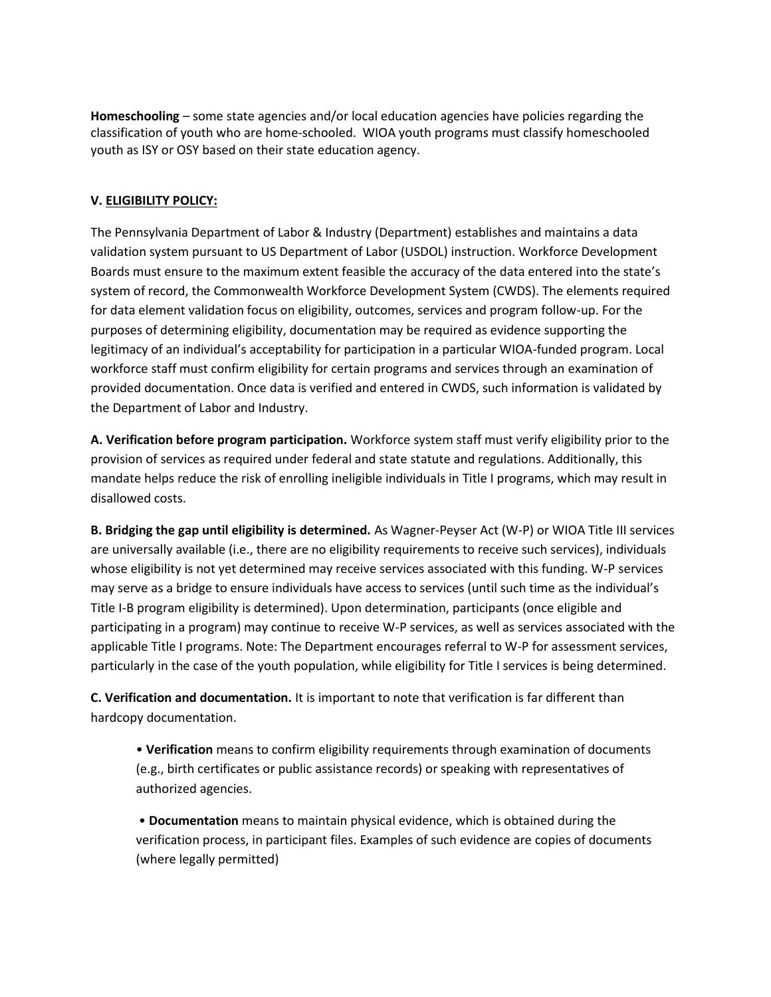**Homeschooling** – some state agencies and/or local education agencies have policies regarding the classification of youth who are home-schooled. WIOA youth programs must classify homeschooled youth as ISY or OSY based on their state education agency.

# **V. ELIGIBILITY POLICY:**

The Pennsylvania Department of Labor & Industry (Department) establishes and maintains a data validation system pursuant to US Department of Labor (USDOL) instruction. Workforce Development Boards must ensure to the maximum extent feasible the accuracy of the data entered into the state's system of record, the Commonwealth Workforce Development System (CWDS). The elements required for data element validation focus on eligibility, outcomes, services and program follow-up. For the purposes of determining eligibility, documentation may be required as evidence supporting the legitimacy of an individual's acceptability for participation in a particular WIOA-funded program. Local workforce staff must confirm eligibility for certain programs and services through an examination of provided documentation. Once data is verified and entered in CWDS, such information is validated by the Department of Labor and Industry.

**A. Verification before program participation.** Workforce system staff must verify eligibility prior to the provision of services as required under federal and state statute and regulations. Additionally, this mandate helps reduce the risk of enrolling ineligible individuals in Title I programs, which may result in disallowed costs.

**B. Bridging the gap until eligibility is determined.** As Wagner-Peyser Act (W-P) or WIOA Title III services are universally available (i.e., there are no eligibility requirements to receive such services), individuals whose eligibility is not yet determined may receive services associated with this funding. W-P services may serve as a bridge to ensure individuals have access to services (until such time as the individual's Title I-B program eligibility is determined). Upon determination, participants (once eligible and participating in a program) may continue to receive W-P services, as well as services associated with the applicable Title I programs. Note: The Department encourages referral to W-P for assessment services, particularly in the case of the youth population, while eligibility for Title I services is being determined.

**C. Verification and documentation.** It is important to note that verification is far different than hardcopy documentation.

• **Verification** means to confirm eligibility requirements through examination of documents (e.g., birth certificates or public assistance records) or speaking with representatives of authorized agencies.

• **Documentation** means to maintain physical evidence, which is obtained during the verification process, in participant files. Examples of such evidence are copies of documents (where legally permitted)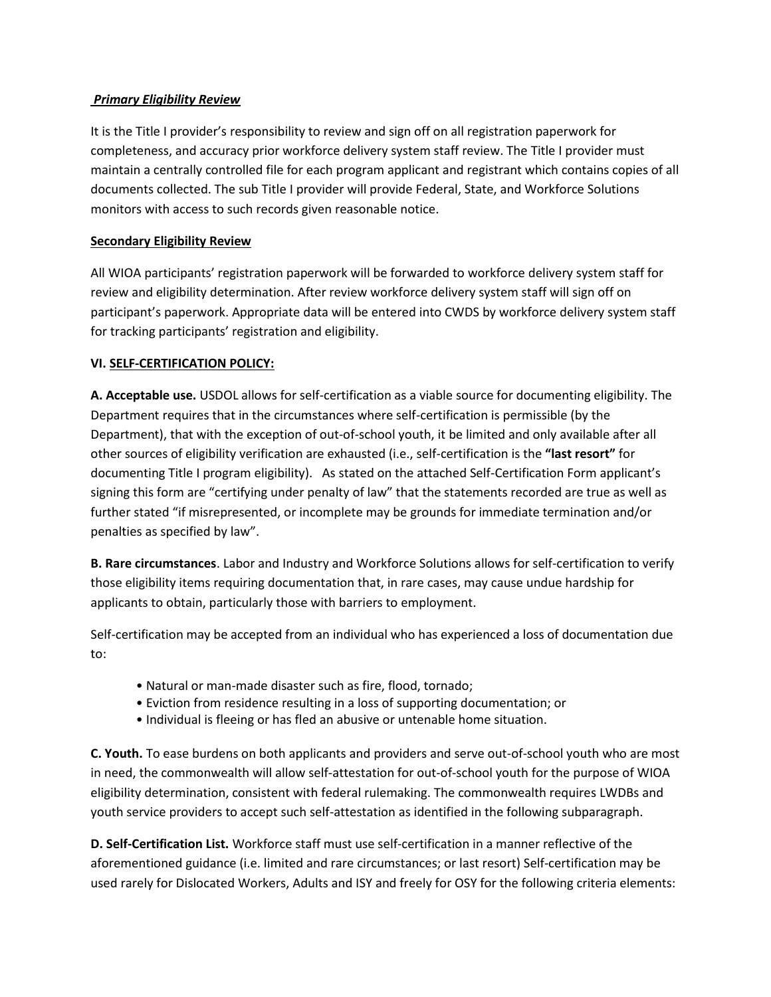# *Primary Eligibility Review*

It is the Title I provider's responsibility to review and sign off on all registration paperwork for completeness, and accuracy prior workforce delivery system staff review. The Title I provider must maintain a centrally controlled file for each program applicant and registrant which contains copies of all documents collected. The sub Title I provider will provide Federal, State, and Workforce Solutions monitors with access to such records given reasonable notice.

# **Secondary Eligibility Review**

All WIOA participants' registration paperwork will be forwarded to workforce delivery system staff for review and eligibility determination. After review workforce delivery system staff will sign off on participant's paperwork. Appropriate data will be entered into CWDS by workforce delivery system staff for tracking participants' registration and eligibility.

#### **VI. SELF-CERTIFICATION POLICY:**

**A. Acceptable use.** USDOL allows for self-certification as a viable source for documenting eligibility. The Department requires that in the circumstances where self-certification is permissible (by the Department), that with the exception of out-of-school youth, it be limited and only available after all other sources of eligibility verification are exhausted (i.e., self-certification is the **"last resort"** for documenting Title I program eligibility). As stated on the attached Self-Certification Form applicant's signing this form are "certifying under penalty of law" that the statements recorded are true as well as further stated "if misrepresented, or incomplete may be grounds for immediate termination and/or penalties as specified by law".

**B. Rare circumstances**. Labor and Industry and Workforce Solutions allows for self-certification to verify those eligibility items requiring documentation that, in rare cases, may cause undue hardship for applicants to obtain, particularly those with barriers to employment.

Self-certification may be accepted from an individual who has experienced a loss of documentation due to:

- Natural or man-made disaster such as fire, flood, tornado;
- Eviction from residence resulting in a loss of supporting documentation; or
- Individual is fleeing or has fled an abusive or untenable home situation.

**C. Youth.** To ease burdens on both applicants and providers and serve out-of-school youth who are most in need, the commonwealth will allow self-attestation for out-of-school youth for the purpose of WIOA eligibility determination, consistent with federal rulemaking. The commonwealth requires LWDBs and youth service providers to accept such self-attestation as identified in the following subparagraph.

**D. Self-Certification List.** Workforce staff must use self-certification in a manner reflective of the aforementioned guidance (i.e. limited and rare circumstances; or last resort) Self-certification may be used rarely for Dislocated Workers, Adults and ISY and freely for OSY for the following criteria elements: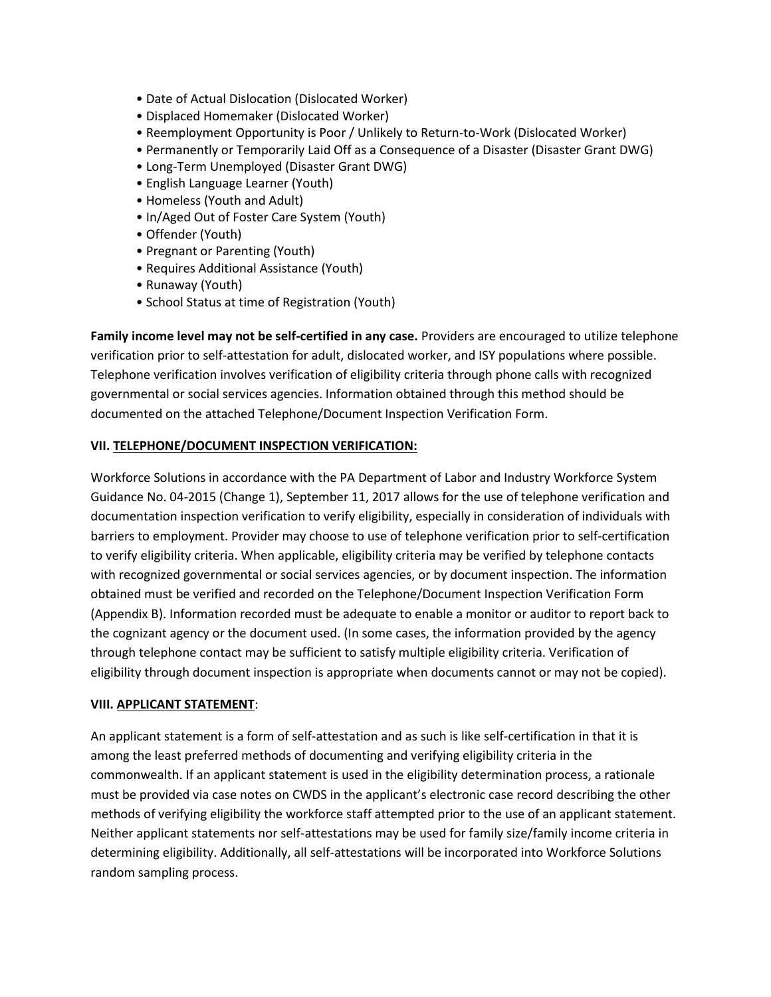- Date of Actual Dislocation (Dislocated Worker)
- Displaced Homemaker (Dislocated Worker)
- Reemployment Opportunity is Poor / Unlikely to Return-to-Work (Dislocated Worker)
- Permanently or Temporarily Laid Off as a Consequence of a Disaster (Disaster Grant DWG)
- Long-Term Unemployed (Disaster Grant DWG)
- English Language Learner (Youth)
- Homeless (Youth and Adult)
- In/Aged Out of Foster Care System (Youth)
- Offender (Youth)
- Pregnant or Parenting (Youth)
- Requires Additional Assistance (Youth)
- Runaway (Youth)
- School Status at time of Registration (Youth)

**Family income level may not be self-certified in any case.** Providers are encouraged to utilize telephone verification prior to self-attestation for adult, dislocated worker, and ISY populations where possible. Telephone verification involves verification of eligibility criteria through phone calls with recognized governmental or social services agencies. Information obtained through this method should be documented on the attached Telephone/Document Inspection Verification Form.

#### **VII. TELEPHONE/DOCUMENT INSPECTION VERIFICATION:**

Workforce Solutions in accordance with the PA Department of Labor and Industry Workforce System Guidance No. 04-2015 (Change 1), September 11, 2017 allows for the use of telephone verification and documentation inspection verification to verify eligibility, especially in consideration of individuals with barriers to employment. Provider may choose to use of telephone verification prior to self-certification to verify eligibility criteria. When applicable, eligibility criteria may be verified by telephone contacts with recognized governmental or social services agencies, or by document inspection. The information obtained must be verified and recorded on the Telephone/Document Inspection Verification Form (Appendix B). Information recorded must be adequate to enable a monitor or auditor to report back to the cognizant agency or the document used. (In some cases, the information provided by the agency through telephone contact may be sufficient to satisfy multiple eligibility criteria. Verification of eligibility through document inspection is appropriate when documents cannot or may not be copied).

#### **VIII. APPLICANT STATEMENT**:

An applicant statement is a form of self-attestation and as such is like self-certification in that it is among the least preferred methods of documenting and verifying eligibility criteria in the commonwealth. If an applicant statement is used in the eligibility determination process, a rationale must be provided via case notes on CWDS in the applicant's electronic case record describing the other methods of verifying eligibility the workforce staff attempted prior to the use of an applicant statement. Neither applicant statements nor self-attestations may be used for family size/family income criteria in determining eligibility. Additionally, all self-attestations will be incorporated into Workforce Solutions random sampling process.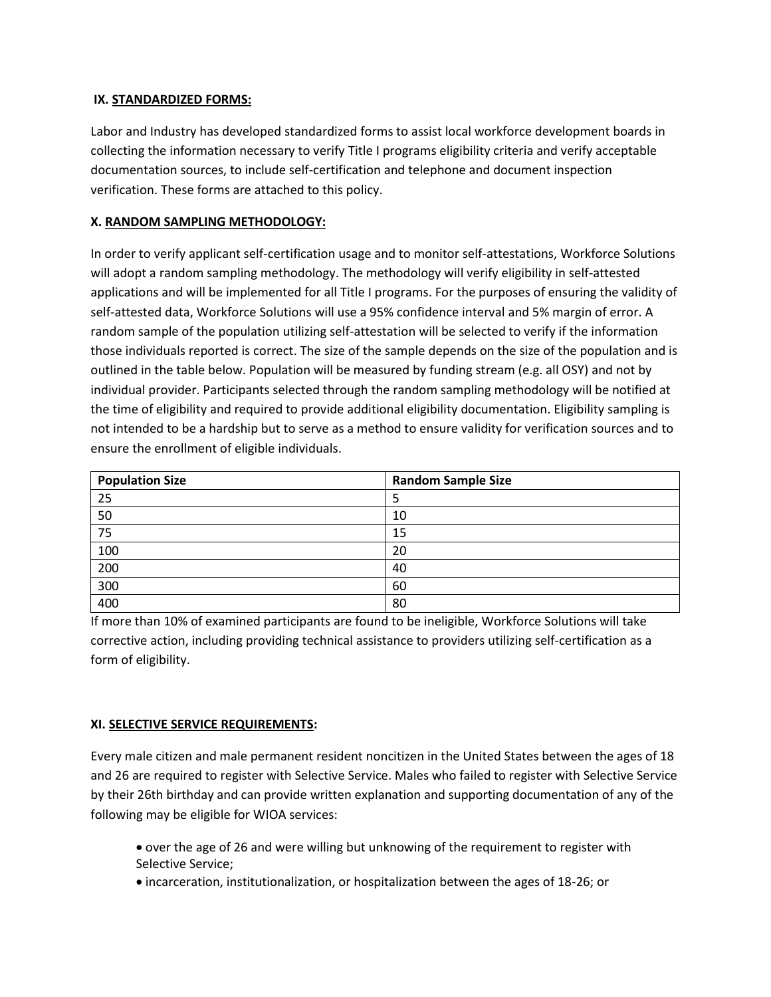# **IX. STANDARDIZED FORMS:**

Labor and Industry has developed standardized forms to assist local workforce development boards in collecting the information necessary to verify Title I programs eligibility criteria and verify acceptable documentation sources, to include self-certification and telephone and document inspection verification. These forms are attached to this policy.

# **X. RANDOM SAMPLING METHODOLOGY:**

In order to verify applicant self-certification usage and to monitor self-attestations, Workforce Solutions will adopt a random sampling methodology. The methodology will verify eligibility in self-attested applications and will be implemented for all Title I programs. For the purposes of ensuring the validity of self-attested data, Workforce Solutions will use a 95% confidence interval and 5% margin of error. A random sample of the population utilizing self-attestation will be selected to verify if the information those individuals reported is correct. The size of the sample depends on the size of the population and is outlined in the table below. Population will be measured by funding stream (e.g. all OSY) and not by individual provider. Participants selected through the random sampling methodology will be notified at the time of eligibility and required to provide additional eligibility documentation. Eligibility sampling is not intended to be a hardship but to serve as a method to ensure validity for verification sources and to ensure the enrollment of eligible individuals.

| <b>Population Size</b> | <b>Random Sample Size</b> |
|------------------------|---------------------------|
| 25                     | Ь                         |
| 50                     | 10                        |
| 75                     | 15                        |
| 100                    | 20                        |
| 200                    | 40                        |
| 300                    | 60                        |
| 400                    | 80                        |

If more than 10% of examined participants are found to be ineligible, Workforce Solutions will take corrective action, including providing technical assistance to providers utilizing self-certification as a form of eligibility.

#### **XI. SELECTIVE SERVICE REQUIREMENTS:**

Every male citizen and male permanent resident noncitizen in the United States between the ages of 18 and 26 are required to register with Selective Service. Males who failed to register with Selective Service by their 26th birthday and can provide written explanation and supporting documentation of any of the following may be eligible for WIOA services:

- over the age of 26 and were willing but unknowing of the requirement to register with Selective Service;
- incarceration, institutionalization, or hospitalization between the ages of 18-26; or